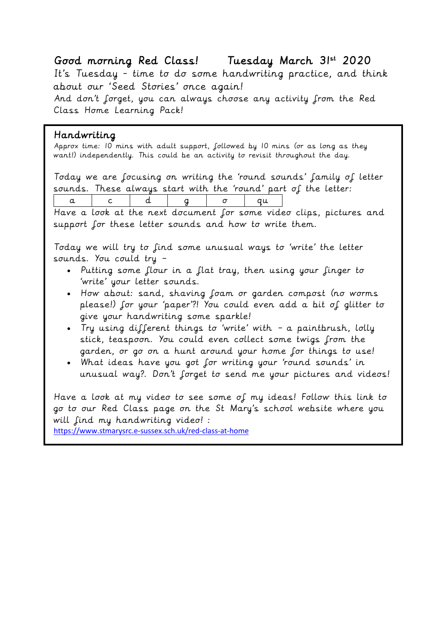# Good morning Red Class! Tuesday March 31st 2020

It's Tuesday - time to do some handwriting practice, and think about our 'Seed Stories' once again!

And don't forget, you can always choose any activity from the Red Class Home Learning Pack!

## Handwriting

Approx time: 10 mins with adult support, followed by 10 mins (or as long as they want!) independently. This could be an activity to revisit throughout the day.

Today we are focusing on writing the 'round sounds' family of letter sounds. These always start with the 'round' part of the letter:

| ື |  |  |  | , w |  |
|---|--|--|--|-----|--|
|---|--|--|--|-----|--|

Have a look at the next document for some video clips, pictures and support for these letter sounds and how to write them.

Today we will try to find some unusual ways to 'write' the letter sounds. You could try –

- Putting some flour in a flat tray, then using your finger to 'write' your letter sounds.
- How about: sand, shaving foam or garden compost (no worms please!) for your 'paper'?! You could even add a bit of glitter to give your handwriting some sparkle!
- Try using different things to 'write' with a paintbrush, lolly stick, teaspoon. You could even collect some twigs from the garden, or go on a hunt around your home for things to use!
- What ideas have you got for writing your 'round sounds' in unusual way?. Don't forget to send me your pictures and videos!

Have a look at my video to see some of my ideas! Follow this link to go to our Red Class page on the St Mary's school website where you will find my handwriting video! :

<https://www.stmarysrc.e-sussex.sch.uk/red-class-at-home>